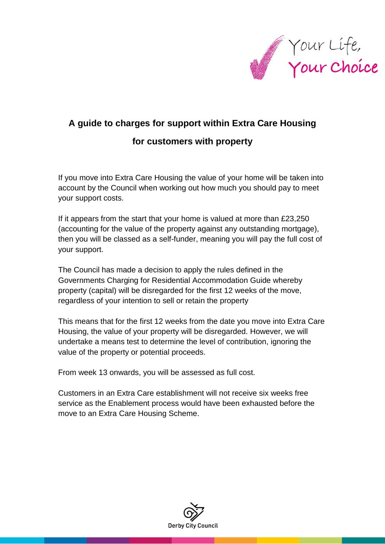

# **A guide to charges for support within Extra Care Housing**

# **for customers with property**

If you move into Extra Care Housing the value of your home will be taken into account by the Council when working out how much you should pay to meet your support costs.

If it appears from the start that your home is valued at more than £23,250 (accounting for the value of the property against any outstanding mortgage), then you will be classed as a self-funder, meaning you will pay the full cost of your support.

The Council has made a decision to apply the rules defined in the Governments Charging for Residential Accommodation Guide whereby property (capital) will be disregarded for the first 12 weeks of the move, regardless of your intention to sell or retain the property

This means that for the first 12 weeks from the date you move into Extra Care Housing, the value of your property will be disregarded. However, we will undertake a means test to determine the level of contribution, ignoring the value of the property or potential proceeds.

From week 13 onwards, you will be assessed as full cost.

Customers in an Extra Care establishment will not receive six weeks free service as the Enablement process would have been exhausted before the move to an Extra Care Housing Scheme.